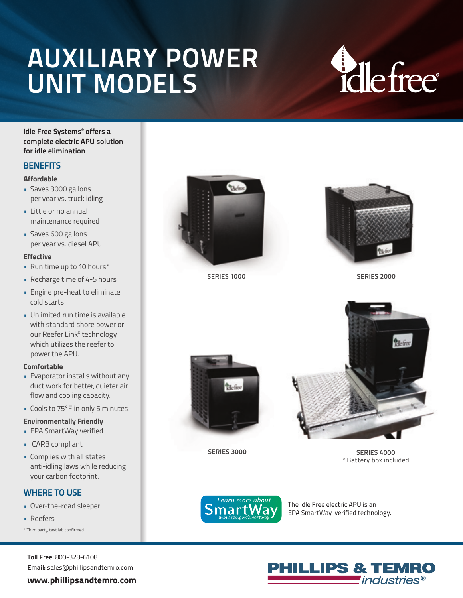## **CAB POWER POWER AUXILIARY POWER UNIT MODELS**

# **Ellefree**

**Idle Free Systems® offers a complete electric APU solution for idle elimination**

#### **BENEFITS**

#### **Affordable**

- Saves 3000 gallons per year vs. truck idling
- Little or no annual maintenance required
- Saves 600 gallons per year vs. diesel APU

#### **Effective**

- Run time up to 10 hours\*
- Recharge time of 4-5 hours
- Engine pre-heat to eliminate cold starts
- Unlimited run time is available with standard shore power or our Reefer Link® technology which utilizes the reefer to power the APU.

#### **Comfortable**

- Evaporator installs without any duct work for better, quieter air flow and cooling capacity.
- Cools to 75°F in only 5 minutes.

#### **Environmentally Friendly**

- EPA SmartWay verified
- CARB compliant
- Complies with all states anti-idling laws while reducing your carbon footprint.

#### **WHERE TO USE**

- Over-the-road sleeper
- Reefers

\* Third party, test lab confirmed

**Toll Free:** 800-328-6108 **Email:** sales@phillipsandtemro.com

#### **www.phillipsandtemro.com**



**SERIES 1000**



**SERIES 2000**



**SERIES 3000**

 $\Phi$ <sub>b</sub>-free

**SERIES 4000** \* Battery box included



The Idle Free electric APU is an EPA SmartWay-verified technology.